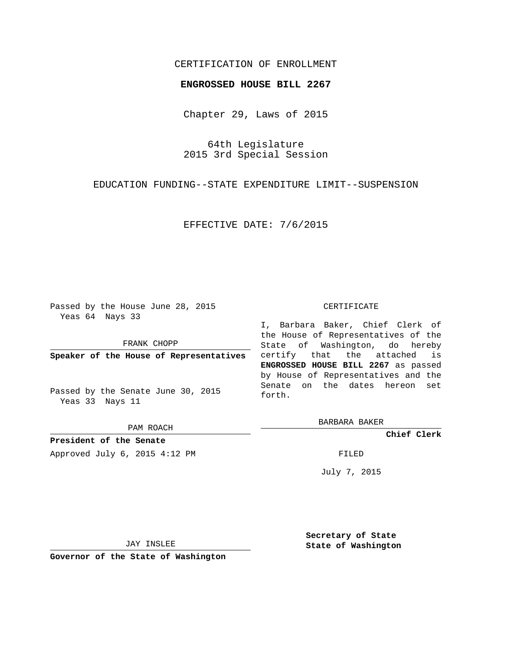## CERTIFICATION OF ENROLLMENT

## **ENGROSSED HOUSE BILL 2267**

Chapter 29, Laws of 2015

64th Legislature 2015 3rd Special Session

EDUCATION FUNDING--STATE EXPENDITURE LIMIT--SUSPENSION

EFFECTIVE DATE: 7/6/2015

Passed by the House June 28, 2015 Yeas 64 Nays 33

FRANK CHOPP

**Speaker of the House of Representatives**

Passed by the Senate June 30, 2015 Yeas 33 Nays 11

PAM ROACH

**President of the Senate** Approved July 6, 2015 4:12 PM FILED

## CERTIFICATE

I, Barbara Baker, Chief Clerk of the House of Representatives of the State of Washington, do hereby certify that the attached is **ENGROSSED HOUSE BILL 2267** as passed by House of Representatives and the Senate on the dates hereon set forth.

BARBARA BAKER

**Chief Clerk**

July 7, 2015

JAY INSLEE

**Governor of the State of Washington**

**Secretary of State State of Washington**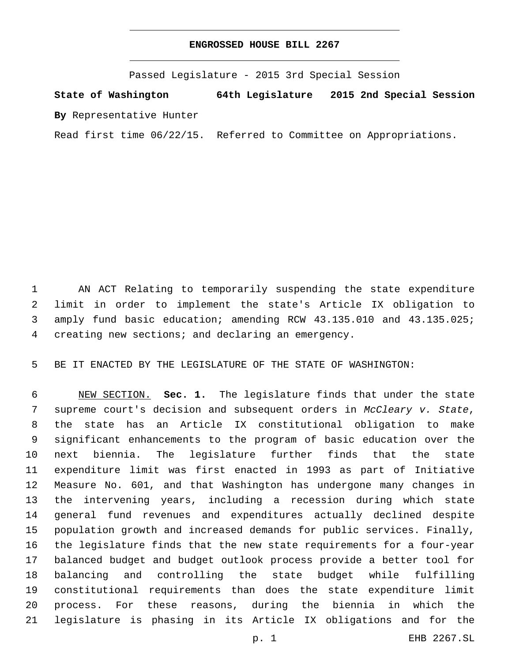## **ENGROSSED HOUSE BILL 2267**

Passed Legislature - 2015 3rd Special Session

**State of Washington 64th Legislature 2015 2nd Special Session By** Representative Hunter

Read first time 06/22/15. Referred to Committee on Appropriations.

 AN ACT Relating to temporarily suspending the state expenditure limit in order to implement the state's Article IX obligation to 3 amply fund basic education; amending RCW 43.135.010 and 43.135.025; 4 creating new sections; and declaring an emergency.

BE IT ENACTED BY THE LEGISLATURE OF THE STATE OF WASHINGTON:

 NEW SECTION. **Sec. 1.** The legislature finds that under the state supreme court's decision and subsequent orders in *McCleary v. State*, the state has an Article IX constitutional obligation to make significant enhancements to the program of basic education over the next biennia. The legislature further finds that the state expenditure limit was first enacted in 1993 as part of Initiative Measure No. 601, and that Washington has undergone many changes in the intervening years, including a recession during which state general fund revenues and expenditures actually declined despite population growth and increased demands for public services. Finally, the legislature finds that the new state requirements for a four-year balanced budget and budget outlook process provide a better tool for balancing and controlling the state budget while fulfilling constitutional requirements than does the state expenditure limit process. For these reasons, during the biennia in which the legislature is phasing in its Article IX obligations and for the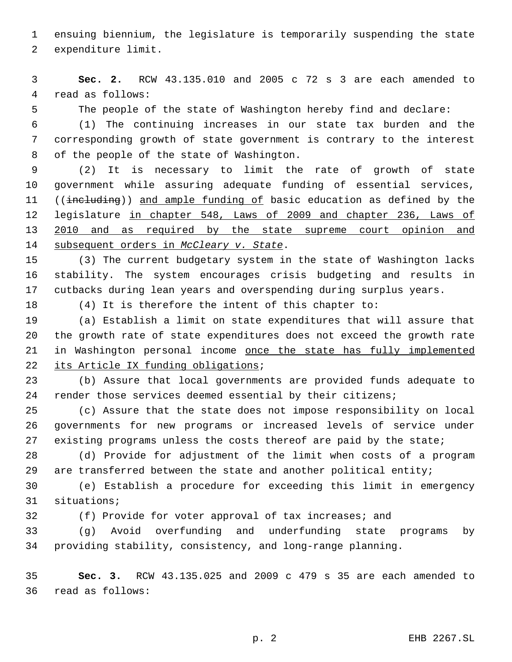ensuing biennium, the legislature is temporarily suspending the state 2 expenditure limit.

 **Sec. 2.** RCW 43.135.010 and 2005 c 72 s 3 are each amended to 4 read as follows:

The people of the state of Washington hereby find and declare:

 (1) The continuing increases in our state tax burden and the corresponding growth of state government is contrary to the interest 8 of the people of the state of Washington.

 (2) It is necessary to limit the rate of growth of state government while assuring adequate funding of essential services, 11 ((including)) and ample funding of basic education as defined by the legislature in chapter 548, Laws of 2009 and chapter 236, Laws of 13 2010 and as required by the state supreme court opinion and 14 subsequent orders in *McCleary v. State*.

 (3) The current budgetary system in the state of Washington lacks stability. The system encourages crisis budgeting and results in cutbacks during lean years and overspending during surplus years.

(4) It is therefore the intent of this chapter to:

 (a) Establish a limit on state expenditures that will assure that the growth rate of state expenditures does not exceed the growth rate 21 in Washington personal income once the state has fully implemented 22 its Article IX funding obligations;

 (b) Assure that local governments are provided funds adequate to render those services deemed essential by their citizens;

 (c) Assure that the state does not impose responsibility on local governments for new programs or increased levels of service under 27 existing programs unless the costs thereof are paid by the state;

 (d) Provide for adjustment of the limit when costs of a program 29 are transferred between the state and another political entity;

 (e) Establish a procedure for exceeding this limit in emergency 31 situations;

(f) Provide for voter approval of tax increases; and

 (g) Avoid overfunding and underfunding state programs by providing stability, consistency, and long-range planning.

 **Sec. 3.** RCW 43.135.025 and 2009 c 479 s 35 are each amended to read as follows:36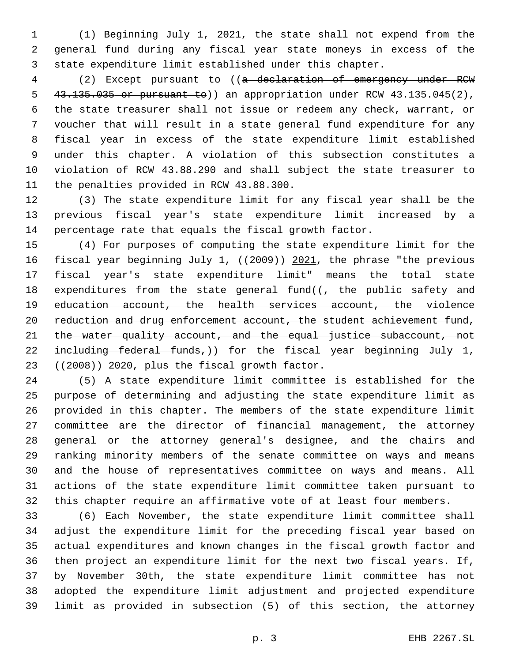(1) Beginning July 1, 2021, the state shall not expend from the general fund during any fiscal year state moneys in excess of the state expenditure limit established under this chapter.

 (2) Except pursuant to ((a declaration of emergency under RCW 43.135.035 or pursuant to)) an appropriation under RCW 43.135.045(2), the state treasurer shall not issue or redeem any check, warrant, or voucher that will result in a state general fund expenditure for any fiscal year in excess of the state expenditure limit established under this chapter. A violation of this subsection constitutes a violation of RCW 43.88.290 and shall subject the state treasurer to 11 the penalties provided in RCW 43.88.300.

 (3) The state expenditure limit for any fiscal year shall be the previous fiscal year's state expenditure limit increased by a percentage rate that equals the fiscal growth factor.

 (4) For purposes of computing the state expenditure limit for the 16 fiscal year beginning July 1, ((2009)) 2021, the phrase "the previous fiscal year's state expenditure limit" means the total state 18 expenditures from the state general fund((- the public safety and education account, the health services account, the violence 20 reduction and drug enforcement account, the student achievement fund, 21 the water quality account, and the equal justice subaccount, not  $\pm$ neluding federal funds,)) for the fiscal year beginning July 1,  $(2008)$ )  $2020$ , plus the fiscal growth factor.

 (5) A state expenditure limit committee is established for the purpose of determining and adjusting the state expenditure limit as provided in this chapter. The members of the state expenditure limit committee are the director of financial management, the attorney general or the attorney general's designee, and the chairs and ranking minority members of the senate committee on ways and means and the house of representatives committee on ways and means. All actions of the state expenditure limit committee taken pursuant to this chapter require an affirmative vote of at least four members.

 (6) Each November, the state expenditure limit committee shall adjust the expenditure limit for the preceding fiscal year based on actual expenditures and known changes in the fiscal growth factor and then project an expenditure limit for the next two fiscal years. If, by November 30th, the state expenditure limit committee has not adopted the expenditure limit adjustment and projected expenditure limit as provided in subsection (5) of this section, the attorney